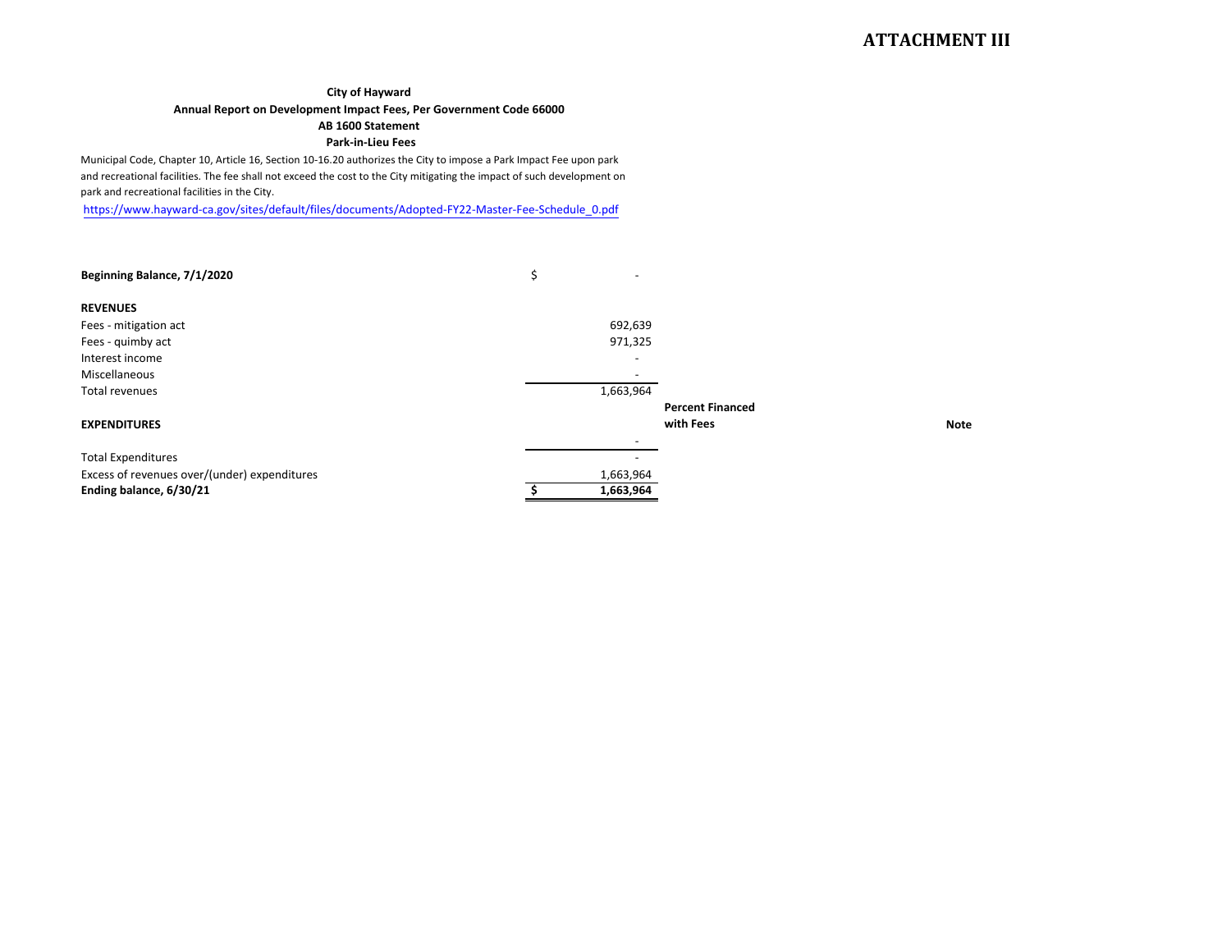#### **City of Hayward**

### Annual Report on Development Impact Fees, Per Government Code 66000

## AB 1600 Statement

#### Park-in-Lieu Fees

Municipal Code, Chapter 10, Article 16, Section 10-16.20 authorizes the City to impose a Park Impact Fee upon park and recreational facilities. The fee shall not exceed the cost to the City mitigating the impact of such development on park and recreational facilities in the City.

https://www.hayward-ca.gov/sites/default/files/documents/Adopted-FY22-Master-Fee-Schedule\_0.pdf

| Beginning Balance, 7/1/2020                  | \$                       |                         |
|----------------------------------------------|--------------------------|-------------------------|
| <b>REVENUES</b>                              |                          |                         |
| Fees - mitigation act                        | 692,639                  |                         |
| Fees - quimby act                            | 971,325                  |                         |
| Interest income                              |                          |                         |
| Miscellaneous                                | $\overline{\phantom{0}}$ |                         |
| Total revenues                               | 1,663,964                |                         |
|                                              |                          | <b>Percent Financed</b> |
| <b>EXPENDITURES</b>                          |                          | with Fees               |
|                                              |                          |                         |
| <b>Total Expenditures</b>                    |                          |                         |
| Excess of revenues over/(under) expenditures | 1,663,964                |                         |
| Ending balance, 6/30/21                      | 1,663,964                |                         |

**Note**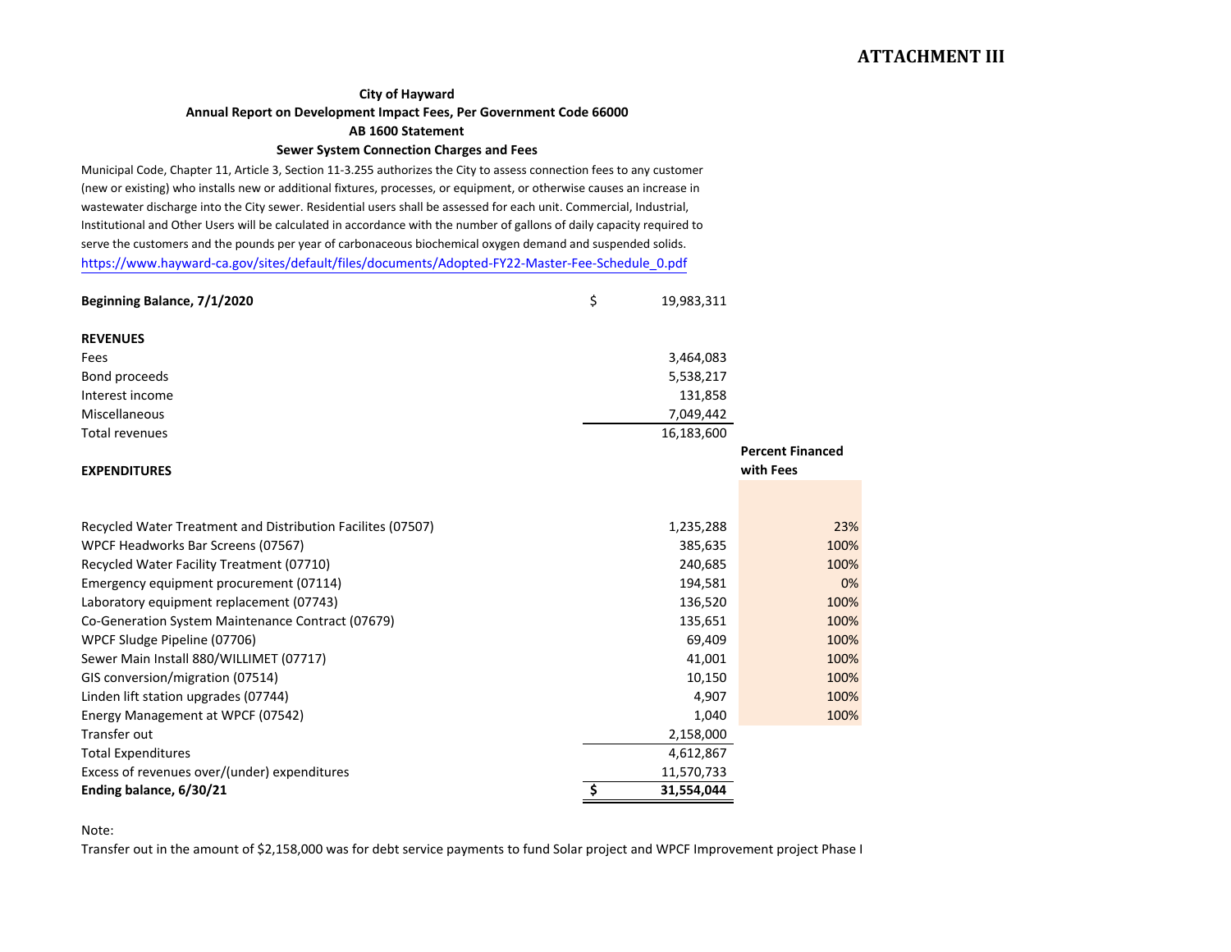## **ATTACHMENT III**

### **City of Hayward**

**Annual Report on Development Impact Fees, Per Government Code 66000**

#### **AB 1600 Statement**

## **Sewer System Connection Charges and Fees**

Municipal Code, Chapter 11, Article 3, Section 11-3.255 authorizes the City to assess connection fees to any customer (new or existing) who installs new or additional fixtures, processes, or equipment, or otherwise causes an increase in wastewater discharge into the City sewer. Residential users shall be assessed for each unit. Commercial, Industrial, Institutional and Other Users will be calculated in accordance with the number of gallons of daily capacity required to serve the customers and the pounds per year of carbonaceous biochemical oxygen demand and suspended solids. [https://www.hayward-ca.gov/sites/default/files/documents/Adopted-FY22-Master-Fee-Schedule\\_0.pdf](https://www.hayward-ca.gov/sites/default/files/documents/Adopted-FY22-Master-Fee-Schedule_0.pdf)

| Beginning Balance, 7/1/2020                                 | \$      | 19,983,311 |                                      |
|-------------------------------------------------------------|---------|------------|--------------------------------------|
| <b>REVENUES</b>                                             |         |            |                                      |
| Fees                                                        |         | 3,464,083  |                                      |
| Bond proceeds                                               |         | 5,538,217  |                                      |
| Interest income                                             |         | 131,858    |                                      |
| Miscellaneous                                               |         | 7,049,442  |                                      |
| <b>Total revenues</b>                                       |         | 16,183,600 |                                      |
| <b>EXPENDITURES</b>                                         |         |            | <b>Percent Financed</b><br>with Fees |
|                                                             |         |            |                                      |
| Recycled Water Treatment and Distribution Facilites (07507) |         | 1,235,288  | 23%                                  |
| WPCF Headworks Bar Screens (07567)                          |         | 385,635    | 100%                                 |
| Recycled Water Facility Treatment (07710)                   |         | 240,685    | 100%                                 |
| Emergency equipment procurement (07114)                     |         | 194,581    | 0%                                   |
| Laboratory equipment replacement (07743)                    | 136,520 |            | 100%                                 |
| Co-Generation System Maintenance Contract (07679)           | 135,651 |            | 100%                                 |
| WPCF Sludge Pipeline (07706)                                |         | 69,409     | 100%                                 |
| Sewer Main Install 880/WILLIMET (07717)                     |         | 41,001     | 100%                                 |
| GIS conversion/migration (07514)                            |         | 10,150     | 100%                                 |
| Linden lift station upgrades (07744)                        |         | 4,907      | 100%                                 |
| Energy Management at WPCF (07542)                           |         | 1,040      | 100%                                 |
| Transfer out                                                |         | 2,158,000  |                                      |
| <b>Total Expenditures</b>                                   |         | 4,612,867  |                                      |
| Excess of revenues over/(under) expenditures                |         | 11,570,733 |                                      |
| Ending balance, 6/30/21                                     | \$      | 31,554,044 |                                      |

Note:

Transfer out in the amount of \$2,158,000 was for debt service payments to fund Solar project and WPCF Improvement project Phase <sup>I</sup>